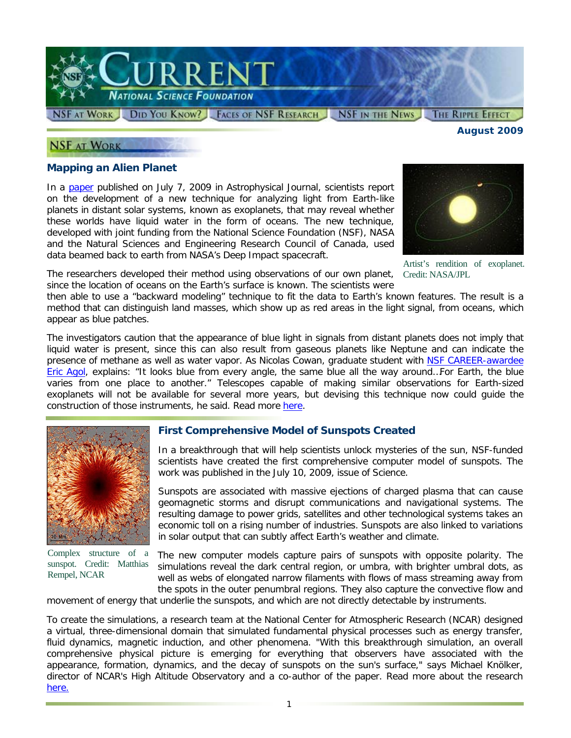

#### **NSF AT WORK**

*August 2009* 

#### **Mapping an Alien Planet**

In a [paper](http://www.nsf.gov/cgi-bin/goodbye?http://www.iop.org/EJ/article/0004-637X/700/2/915/apj_700_2_915.html) published on July 7, 2009 in *Astrophysical Journal*, scientists report on the development of a new technique for analyzing light from Earth-like planets in distant solar systems, known as exoplanets, that may reveal whether these worlds have liquid water in the form of oceans. The new technique, developed with joint funding from the National Science Foundation (NSF), NASA and the Natural Sciences and Engineering Research Council of Canada, used data beamed back to earth from NASA's Deep Impact spacecraft.



Artist's rendition of exoplanet. Credit: NASA/JPL

The researchers developed their method using observations of our own planet, since the location of oceans on the Earth's surface is known. The scientists were

then able to use a "backward modeling" technique to fit the data to Earth's known features. The result is a method that can distinguish land masses, which show up as red areas in the light signal, from oceans, which appear as blue patches.

The investigators caution that the appearance of blue light in signals from distant planets does not imply that liquid water is present, since this can also result from gaseous planets like Neptune and can indicate the presence of methane as well as water vapor. As Nicolas Cowan, graduate student with [NSF CAREER-awardee](http://www.nsf.gov/awardsearch/showAward.do?AwardNumber=0645416)  [Eric Agol,](http://www.nsf.gov/awardsearch/showAward.do?AwardNumber=0645416) explains: "It looks blue from every angle, the same blue all the way around...For Earth, the blue varies from one place to another." Telescopes capable of making similar observations for Earth-sized exoplanets will not be available for several more years, but devising this technique now could guide the construction of those instruments, he said. Read more [here.](http://www.nsf.gov/cgi-bin/goodbye?http://uwnews.org/article.asp?articleID=49976)



Complex structure of a sunspot. Credit: Matthias Rempel, NCAR

#### **First Comprehensive Model of Sunspots Created**

In a breakthrough that will help scientists unlock mysteries of the sun, NSF-funded scientists have created the first comprehensive computer model of sunspots. The work was published in the July 10, 2009, issue of *Science*.

Sunspots are associated with massive ejections of charged plasma that can cause geomagnetic storms and disrupt communications and navigational systems. The resulting damage to power grids, satellites and other technological systems takes an economic toll on a rising number of industries. Sunspots are also linked to variations in solar output that can subtly affect Earth's weather and climate.

The new computer models capture pairs of sunspots with opposite polarity. The simulations reveal the dark central region, or umbra, with brighter umbral dots, as well as webs of elongated narrow filaments with flows of mass streaming away from the spots in the outer penumbral regions. They also capture the convective flow and

movement of energy that underlie the sunspots, and which are not directly detectable by instruments.

To create the simulations, a research team at the National Center for Atmospheric Research (NCAR) designed a virtual, three-dimensional domain that simulated fundamental physical processes such as energy transfer, fluid dynamics, magnetic induction, and other phenomena. "With this breakthrough simulation, an overall comprehensive physical picture is emerging for everything that observers have associated with the appearance, formation, dynamics, and the decay of sunspots on the sun's surface," says Michael Knölker, director of NCAR's High Altitude Observatory and a co-author of the paper. Read more about the research [here.](http://www.nsf.gov/news/news_summ.jsp?cntn_id=114981&org=NSF&from=news)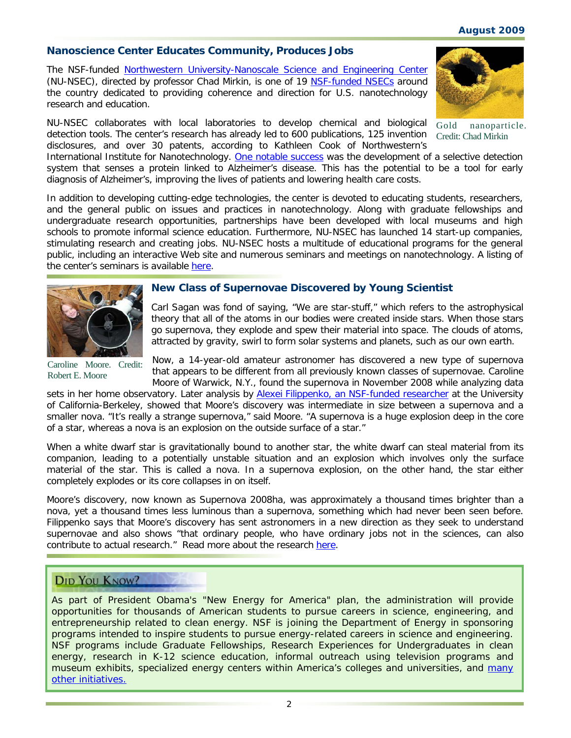# *August 2009*

# **Nanoscience Center Educates Community, Produces Jobs**

The NSF-funded [Northwestern University-Nanoscale Science and Engineering Center](http://www.nsf.gov/cgi-bin/goodbye?http://www.nsec.northwestern.edu/index.htm) (NU-NSEC), directed by professor Chad Mirkin, is one of 19 [NSF-funded NSECs](http://www.nsf.gov/cgi-bin/goodbye?http://www.nsecnetworks.org/programs.php) around the country dedicated to providing coherence and direction for U.S. nanotechnology research and education.

NU-NSEC collaborates with local laboratories to develop chemical and biological detection tools. The center's research has already led to 600 publications, 125 invention Credit: Chad Mirkin disclosures, and over 30 patents, according to Kathleen Cook of Northwestern's

Gold nanoparticle.

International Institute for Nanotechnology. [One notable success](http://www.nsf.gov/news/news_summ.jsp?cntn_id=100761) was the development of a selective detection system that senses a protein linked to Alzheimer's disease. This has the potential to be a tool for early diagnosis of Alzheimer's, improving the lives of patients and lowering health care costs.

In addition to developing cutting-edge technologies, the center is devoted to educating students, researchers, and the general public on issues and practices in nanotechnology. Along with graduate fellowships and undergraduate research opportunities, partnerships have been developed with local museums and high schools to promote informal science education. Furthermore, NU-NSEC has launched 14 start-up companies, stimulating research and creating jobs. NU-NSEC hosts a multitude of educational programs for the general public, including an interactive Web site and numerous seminars and meetings on nanotechnology. A listing of the center's seminars is available [here.](http://www.nsf.gov/cgi-bin/goodbye?http://www.iinano.org/content/Calendar/index.htm)



## **New Class of Supernovae Discovered by Young Scientist**

Carl Sagan was fond of saying, "We are star-stuff," which refers to the astrophysical theory that all of the atoms in our bodies were created inside stars. When those stars go supernova, they explode and spew their material into space. The clouds of atoms, attracted by gravity, swirl to form solar systems and planets, such as our own earth.

Caroline Moore. Credit: Robert E. Moore

Now, a 14-year-old amateur astronomer has discovered a new type of supernova that appears to be different from all previously known classes of supernovae. Caroline Moore of Warwick, N.Y., found the supernova in November 2008 while analyzing data

sets in her home observatory. Later analysis by [Alexei Filippenko, an NSF-funded researcher](http://www.nsf.gov/awardsearch/showAward.do?AwardNumber=0607485) at the University of California-Berkeley, showed that Moore's discovery was intermediate in size between a supernova and a smaller nova. "It's really a strange supernova," said Moore. "A supernova is a huge explosion deep in the core of a star, whereas a nova is an explosion on the outside surface of a star."

When a white dwarf star is gravitationally bound to another star, the white dwarf can steal material from its companion, leading to a potentially unstable situation and an explosion which involves only the surface material of the star. This is called a nova. In a supernova explosion, on the other hand, the star either completely explodes or its core collapses in on itself.

Moore's discovery, now known as Supernova 2008ha, was approximately a thousand times brighter than a nova, yet a thousand times less luminous than a supernova, something which had never been seen before. Filippenko says that Moore's discovery has sent astronomers in a new direction as they seek to understand supernovae and also shows "that ordinary people, who have ordinary jobs not in the sciences, can also contribute to actual research." Read more about the research [here.](http://www.nsf.gov/discoveries/disc_summ.jsp?cntn_id=115097&org=NSF)

## **DID YOU KNOW?**

As part of President Obama's "New Energy for America" plan, the administration will provide opportunities for thousands of American students to pursue careers in science, engineering, and entrepreneurship related to clean energy. NSF is joining the Department of Energy in sponsoring programs intended to inspire students to pursue energy-related careers in science and engineering. NSF programs include Graduate Fellowships, Research Experiences for Undergraduates in clean energy, research in K-12 science education, informal outreach using television programs and museum exhibits, specialized energy centers within America's colleges and universities, and [many](http://www.nsf.gov/news/news_summ.jsp?cntn_id=114700)  [other initiatives.](http://www.nsf.gov/news/news_summ.jsp?cntn_id=114700)

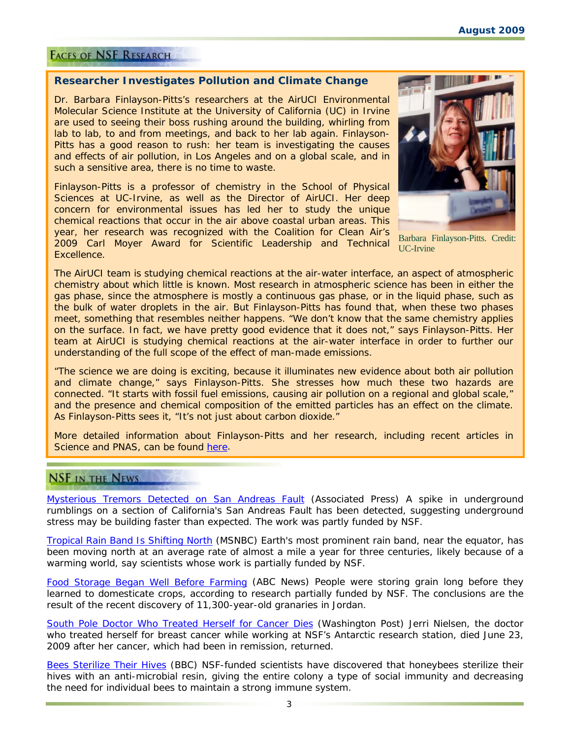#### **FACES OF NSF RESEARCH**

#### **Researcher Investigates Pollution and Climate Change**

Dr. Barbara Finlayson-Pitts's researchers at the AirUCI Environmental Molecular Science Institute at the University of California (UC) in Irvine are used to seeing their boss rushing around the building, whirling from lab to lab, to and from meetings, and back to her lab again. Finlayson-Pitts has a good reason to rush: her team is investigating the causes and effects of air pollution, in Los Angeles and on a global scale, and in such a sensitive area, there is no time to waste.

Finlayson-Pitts is a professor of chemistry in the School of Physical Sciences at UC-Irvine, as well as the Director of AirUCI. Her deep concern for environmental issues has led her to study the unique chemical reactions that occur in the air above coastal urban areas. This year, her research was recognized with the Coalition for Clean Air's 2009 Carl Moyer Award for Scientific Leadership and Technical Excellence.



Barbara Finlayson-Pitts. Credit: UC-Irvine

The AirUCI team is studying chemical reactions at the air-water interface, an aspect of atmospheric chemistry about which little is known. Most research in atmospheric science has been in either the gas phase, since the atmosphere is mostly a continuous gas phase, or in the liquid phase, such as the bulk of water droplets in the air. But Finlayson-Pitts has found that, when these two phases meet, something that resembles neither happens. "We don't know that the same chemistry applies on the surface. In fact, we have pretty good evidence that it does not," says Finlayson-Pitts. Her team at AirUCI is studying chemical reactions at the air-water interface in order to further our understanding of the full scope of the effect of man-made emissions.

"The science we are doing is exciting, because it illuminates new evidence about both air pollution and climate change," says Finlayson-Pitts. She stresses how much these two hazards are connected. "It starts with fossil fuel emissions, causing air pollution on a regional and global scale," and the presence and chemical composition of the emitted particles has an effect on the climate. As Finlayson-Pitts sees it, "It's not just about carbon dioxide."

More detailed information about Finlayson-Pitts and her research, including recent articles in *Science* and *PNAS,* can be found [here](http://www.nsf.gov/cgi-bin/goodbye?http://www.chem.uci.edu/airuci).

## **NSF IN THE NEWS**

[Mysterious Tremors Detected on San Andreas Fault](http://www.nsf.gov/cgi-bin/goodbye?http://www.google.com/hostednews/ap/article/ALeqM5jficMB9R4grVIH4DsO8bMOCskHqgD99B30O81) (*Associated Press*) A spike in underground rumblings on a section of California's San Andreas Fault has been detected, suggesting underground stress may be building faster than expected. The work was partly funded by NSF.

[Tropical Rain Band Is Shifting North](http://www.nsf.gov/cgi-bin/goodbye?http://www.msnbc.msn.com/id/31709811/ns/us_news-environment/) (*MSNBC)* Earth's most prominent rain band, near the equator, has been moving north at an average rate of almost a mile a year for three centuries, likely because of a warming world, say scientists whose work is partially funded by NSF.

[Food Storage Began Well Before Farming](http://www.nsf.gov/cgi-bin/goodbye?http://abcnews.go.com/Technology/wireStory?id=7902310) (*ABC News*) People were storing grain long before they learned to domesticate crops, according to research partially funded by NSF. The conclusions are the result of the recent discovery of 11,300-year-old granaries in Jordan.

[South Pole Doctor Who Treated Herself for Cancer Dies](http://www.nsf.gov/cgi-bin/goodbye?http://www.washingtonpost.com/wp-dyn/content/article/2009/06/24/AR2009062403094.html) (*Washington Post)* Jerri Nielsen, the doctor who treated herself for breast cancer while working at NSF's Antarctic research station, died June 23, 2009 after her cancer, which had been in remission, returned.

[Bees Sterilize Their Hives](http://www.nsf.gov/cgi-bin/goodbye?http://news.bbc.co.uk/earth/hi/earth_news/newsid_8152000/8152574.stm) (*BBC*) NSF-funded scientists have discovered that honeybees sterilize their hives with an anti-microbial resin, giving the entire colony a type of social immunity and decreasing the need for individual bees to maintain a strong immune system.